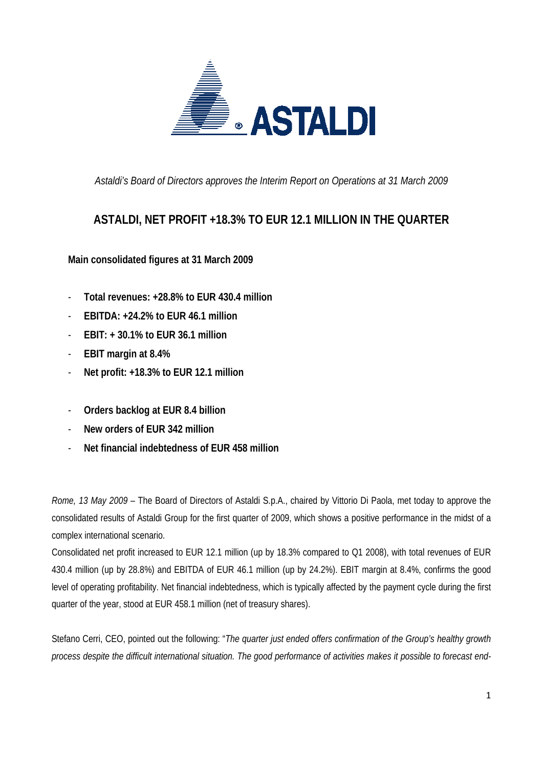

*Astaldi's Board of Directors approves the Interim Report on Operations at 31 March 2009* 

# **ASTALDI, NET PROFIT +18.3% TO EUR 12.1 MILLION IN THE QUARTER**

**Main consolidated figures at 31 March 2009** 

- **Total revenues: +28.8% to EUR 430.4 million**
- **EBITDA: +24.2% to EUR 46.1 million**
- **EBIT: + 30.1% to EUR 36.1 million**
- **EBIT margin at 8.4%**
- **Net profit: +18.3% to EUR 12.1 million**
- **Orders backlog at EUR 8.4 billion**
- **New orders of EUR 342 million**
- **Net financial indebtedness of EUR 458 million**

*Rome, 13 May 2009* – The Board of Directors of Astaldi S.p.A., chaired by Vittorio Di Paola, met today to approve the consolidated results of Astaldi Group for the first quarter of 2009, which shows a positive performance in the midst of a complex international scenario.

Consolidated net profit increased to EUR 12.1 million (up by 18.3% compared to Q1 2008), with total revenues of EUR 430.4 million (up by 28.8%) and EBITDA of EUR 46.1 million (up by 24.2%). EBIT margin at 8.4%, confirms the good level of operating profitability. Net financial indebtedness, which is typically affected by the payment cycle during the first quarter of the year, stood at EUR 458.1 million (net of treasury shares).

Stefano Cerri, CEO, pointed out the following: "*The quarter just ended offers confirmation of the Group's healthy growth process despite the difficult international situation. The good performance of activities makes it possible to forecast end-*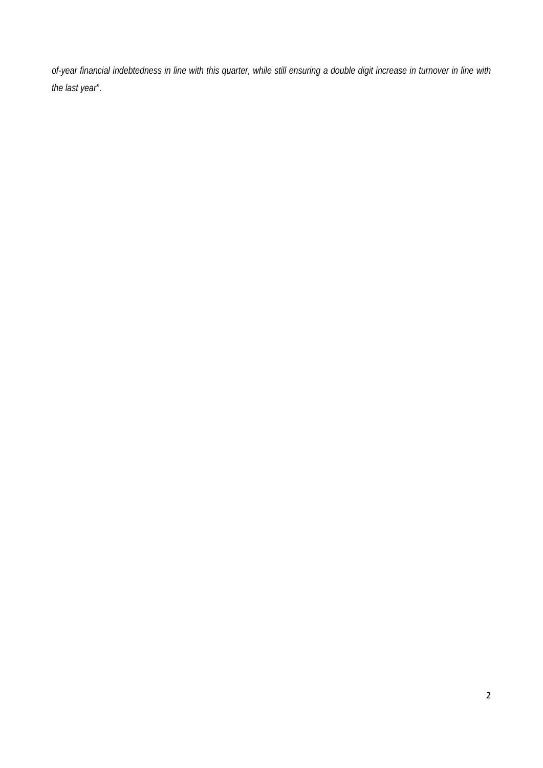*of-year financial indebtedness in line with this quarter, while still ensuring a double digit increase in turnover in line with the last year"*.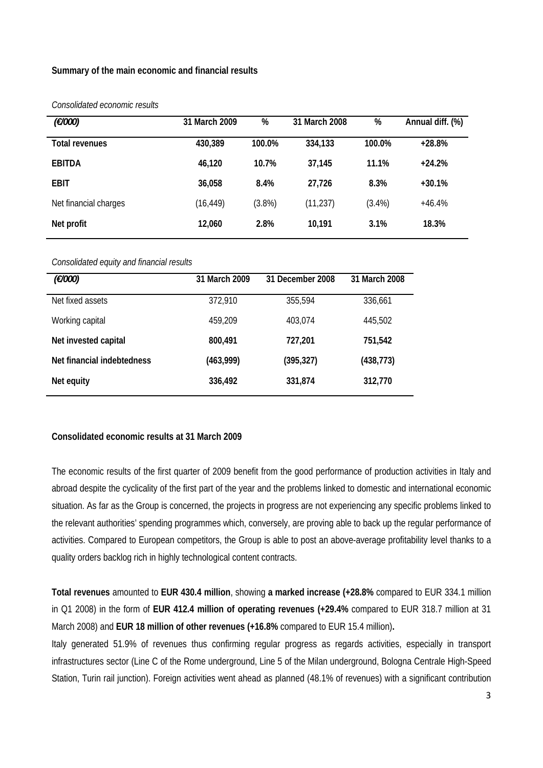# **Summary of the main economic and financial results**

#### *Consolidated economic results*

| $(\epsilon$ /000)     | 31 March 2009 | %         | 31 March 2008 | %         | Annual diff. (%) |
|-----------------------|---------------|-----------|---------------|-----------|------------------|
| <b>Total revenues</b> | 430,389       | 100.0%    | 334,133       | 100.0%    | $+28.8%$         |
| EBITDA                | 46,120        | 10.7%     | 37,145        | 11.1%     | $+24.2%$         |
| EBIT                  | 36,058        | 8.4%      | 27,726        | 8.3%      | $+30.1%$         |
| Net financial charges | (16, 449)     | $(3.8\%)$ | (11, 237)     | $(3.4\%)$ | $+46.4%$         |
| Net profit            | 12,060        | 2.8%      | 10,191        | 3.1%      | 18.3%            |

### *Consolidated equity and financial results*

| (€/000)                    | 31 March 2009 | 31 December 2008 | 31 March 2008 |
|----------------------------|---------------|------------------|---------------|
| Net fixed assets           | 372,910       | 355,594          | 336,661       |
| Working capital            | 459,209       | 403,074          | 445,502       |
| Net invested capital       | 800,491       | 727,201          | 751,542       |
| Net financial indebtedness | (463,999)     | (395, 327)       | (438, 773)    |
| Net equity                 | 336,492       | 331,874          | 312,770       |

## **Consolidated economic results at 31 March 2009**

The economic results of the first quarter of 2009 benefit from the good performance of production activities in Italy and abroad despite the cyclicality of the first part of the year and the problems linked to domestic and international economic situation. As far as the Group is concerned, the projects in progress are not experiencing any specific problems linked to the relevant authorities' spending programmes which, conversely, are proving able to back up the regular performance of activities. Compared to European competitors, the Group is able to post an above-average profitability level thanks to a quality orders backlog rich in highly technological content contracts.

**Total revenues** amounted to **EUR 430.4 million**, showing **a marked increase (+28.8%** compared to EUR 334.1 million in Q1 2008) in the form of **EUR 412.4 million of operating revenues (+29.4%** compared to EUR 318.7 million at 31 March 2008) and **EUR 18 million of other revenues (+16.8%** compared to EUR 15.4 million)**.** 

Italy generated 51.9% of revenues thus confirming regular progress as regards activities, especially in transport infrastructures sector (Line C of the Rome underground, Line 5 of the Milan underground, Bologna Centrale High-Speed Station, Turin rail junction). Foreign activities went ahead as planned (48.1% of revenues) with a significant contribution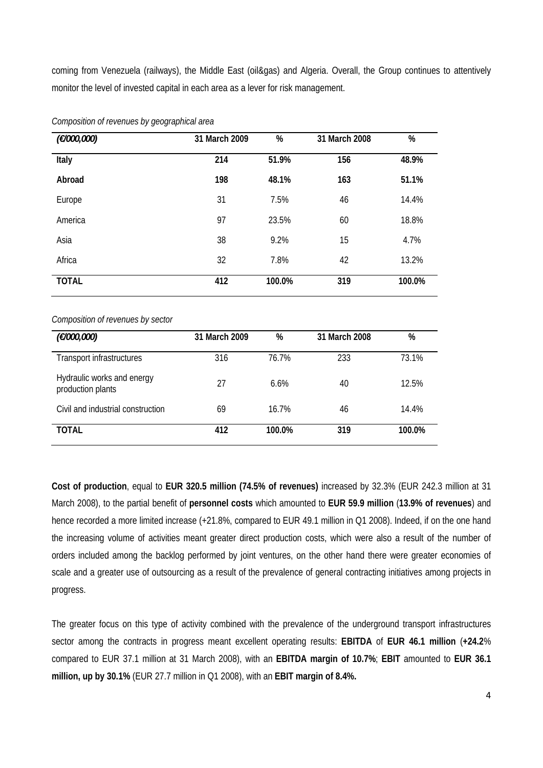coming from Venezuela (railways), the Middle East (oil&gas) and Algeria. Overall, the Group continues to attentively monitor the level of invested capital in each area as a lever for risk management.

| (E/000, 000)                                    | 31 March 2009 | %      | 31 March 2008 | %      |
|-------------------------------------------------|---------------|--------|---------------|--------|
| Italy                                           | 214           | 51.9%  | 156           | 48.9%  |
| Abroad                                          | 198           | 48.1%  | 163           | 51.1%  |
| Europe                                          | 31            | 7.5%   | 46            | 14.4%  |
| America                                         | 97            | 23.5%  | 60            | 18.8%  |
| Asia                                            | 38            | 9.2%   | 15            | 4.7%   |
| Africa                                          | 32            | 7.8%   | 42            | 13.2%  |
| <b>TOTAL</b>                                    | 412           | 100.0% | 319           | 100.0% |
| Composition of revenues by sector               |               |        |               |        |
| (E/000,000)                                     | 31 March 2009 | %      | 31 March 2008 | %      |
| Transport infrastructures                       | 316           | 76.7%  | 233           | 73.1%  |
| Hydraulic works and energy<br>production plants | 27            | 6.6%   | 40            | 12.5%  |
| Civil and industrial construction               | 69            | 16.7%  | 46            | 14.4%  |

**TOTAL 412 100.0% 319 100.0%** 

### *Composition of revenues by geographical area*

**Cost of production**, equal to **EUR 320.5 million (74.5% of revenues)** increased by 32.3% (EUR 242.3 million at 31 March 2008), to the partial benefit of **personnel costs** which amounted to **EUR 59.9 million** (**13.9% of revenues**) and hence recorded a more limited increase (+21.8%, compared to EUR 49.1 million in Q1 2008). Indeed, if on the one hand the increasing volume of activities meant greater direct production costs, which were also a result of the number of orders included among the backlog performed by joint ventures, on the other hand there were greater economies of scale and a greater use of outsourcing as a result of the prevalence of general contracting initiatives among projects in progress.

The greater focus on this type of activity combined with the prevalence of the underground transport infrastructures sector among the contracts in progress meant excellent operating results: **EBITDA** of **EUR 46.1 million** (**+24.2**% compared to EUR 37.1 million at 31 March 2008), with an **EBITDA margin of 10.7%**; **EBIT** amounted to **EUR 36.1 million, up by 30.1%** (EUR 27.7 million in Q1 2008), with an **EBIT margin of 8.4%.**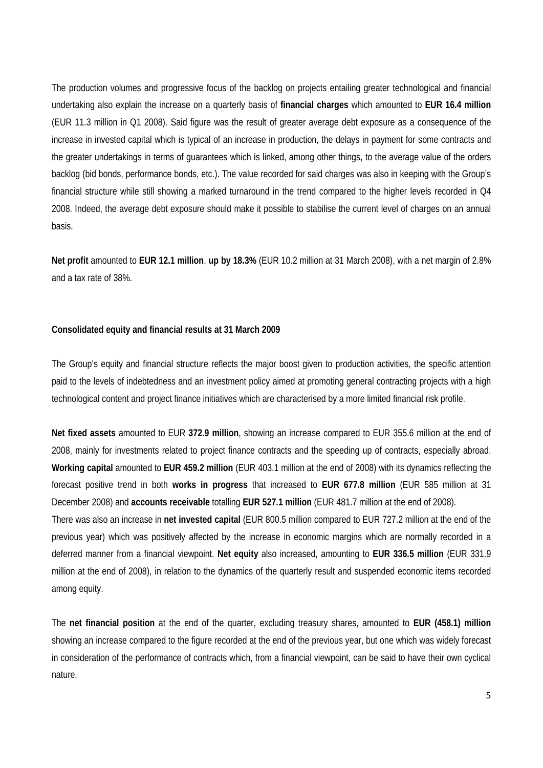The production volumes and progressive focus of the backlog on projects entailing greater technological and financial undertaking also explain the increase on a quarterly basis of **financial charges** which amounted to **EUR 16.4 million** (EUR 11.3 million in Q1 2008). Said figure was the result of greater average debt exposure as a consequence of the increase in invested capital which is typical of an increase in production, the delays in payment for some contracts and the greater undertakings in terms of guarantees which is linked, among other things, to the average value of the orders backlog (bid bonds, performance bonds, etc.). The value recorded for said charges was also in keeping with the Group's financial structure while still showing a marked turnaround in the trend compared to the higher levels recorded in Q4 2008. Indeed, the average debt exposure should make it possible to stabilise the current level of charges on an annual basis.

**Net profit** amounted to **EUR 12.1 million**, **up by 18.3%** (EUR 10.2 million at 31 March 2008), with a net margin of 2.8% and a tax rate of 38%.

#### **Consolidated equity and financial results at 31 March 2009**

The Group's equity and financial structure reflects the major boost given to production activities, the specific attention paid to the levels of indebtedness and an investment policy aimed at promoting general contracting projects with a high technological content and project finance initiatives which are characterised by a more limited financial risk profile.

**Net fixed assets** amounted to EUR **372.9 million**, showing an increase compared to EUR 355.6 million at the end of 2008, mainly for investments related to project finance contracts and the speeding up of contracts, especially abroad. **Working capital** amounted to **EUR 459.2 million** (EUR 403.1 million at the end of 2008) with its dynamics reflecting the forecast positive trend in both **works in progress** that increased to **EUR 677.8 million** (EUR 585 million at 31 December 2008) and **accounts receivable** totalling **EUR 527.1 million** (EUR 481.7 million at the end of 2008). There was also an increase in **net invested capital** (EUR 800.5 million compared to EUR 727.2 million at the end of the previous year) which was positively affected by the increase in economic margins which are normally recorded in a deferred manner from a financial viewpoint. **Net equity** also increased, amounting to **EUR 336.5 million** (EUR 331.9 million at the end of 2008), in relation to the dynamics of the quarterly result and suspended economic items recorded among equity.

The **net financial position** at the end of the quarter, excluding treasury shares, amounted to **EUR (458.1) million** showing an increase compared to the figure recorded at the end of the previous year, but one which was widely forecast in consideration of the performance of contracts which, from a financial viewpoint, can be said to have their own cyclical nature.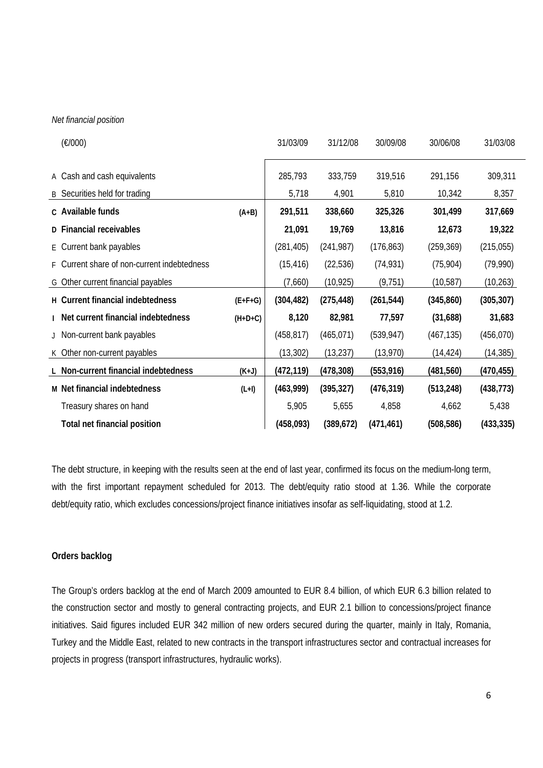#### *Net financial position*

| (E/000)                                     |           | 31/03/09   | 31/12/08   | 30/09/08   | 30/06/08   | 31/03/08   |
|---------------------------------------------|-----------|------------|------------|------------|------------|------------|
| A Cash and cash equivalents                 |           | 285,793    | 333,759    | 319,516    | 291,156    | 309,311    |
| Securities held for trading<br>B            |           | 5,718      | 4,901      | 5,810      | 10,342     | 8,357      |
| C Available funds                           | $(A+B)$   | 291,511    | 338,660    | 325,326    | 301,499    | 317,669    |
| D Financial receivables                     |           | 21,091     | 19,769     | 13,816     | 12,673     | 19,322     |
| E Current bank payables                     |           | (281, 405) | (241, 987) | (176, 863) | (259, 369) | (215, 055) |
| F Current share of non-current indebtedness |           | (15, 416)  | (22, 536)  | (74, 931)  | (75, 904)  | (79,990)   |
| G Other current financial payables          |           | (7,660)    | (10, 925)  | (9, 751)   | (10, 587)  | (10, 263)  |
| H Current financial indebtedness            | $(E+F+G)$ | (304, 482) | (275, 448) | (261, 544) | (345, 860) | (305, 307) |
| I Net current financial indebtedness        | $(H+D+C)$ | 8,120      | 82,981     | 77,597     | (31,688)   | 31,683     |
| J Non-current bank payables                 |           | (458, 817) | (465, 071) | (539, 947) | (467, 135) | (456, 070) |
| K Other non-current payables                |           | (13, 302)  | (13, 237)  | (13, 970)  | (14, 424)  | (14, 385)  |
| L Non-current financial indebtedness        | $(K+J)$   | (472, 119) | (478, 308) | (553, 916) | (481, 560) | (470, 455) |
| M Net financial indebtedness                | $(L+I)$   | (463,999)  | (395, 327) | (476, 319) | (513, 248) | (438, 773) |
| Treasury shares on hand                     |           | 5,905      | 5,655      | 4,858      | 4,662      | 5,438      |
| Total net financial position                |           | (458, 093) | (389, 672) | (471, 461) | (508, 586) | (433, 335) |

The debt structure, in keeping with the results seen at the end of last year, confirmed its focus on the medium-long term, with the first important repayment scheduled for 2013. The debt/equity ratio stood at 1.36. While the corporate debt/equity ratio, which excludes concessions/project finance initiatives insofar as self-liquidating, stood at 1.2.

# **Orders backlog**

The Group's orders backlog at the end of March 2009 amounted to EUR 8.4 billion, of which EUR 6.3 billion related to the construction sector and mostly to general contracting projects, and EUR 2.1 billion to concessions/project finance initiatives. Said figures included EUR 342 million of new orders secured during the quarter, mainly in Italy, Romania, Turkey and the Middle East, related to new contracts in the transport infrastructures sector and contractual increases for projects in progress (transport infrastructures, hydraulic works).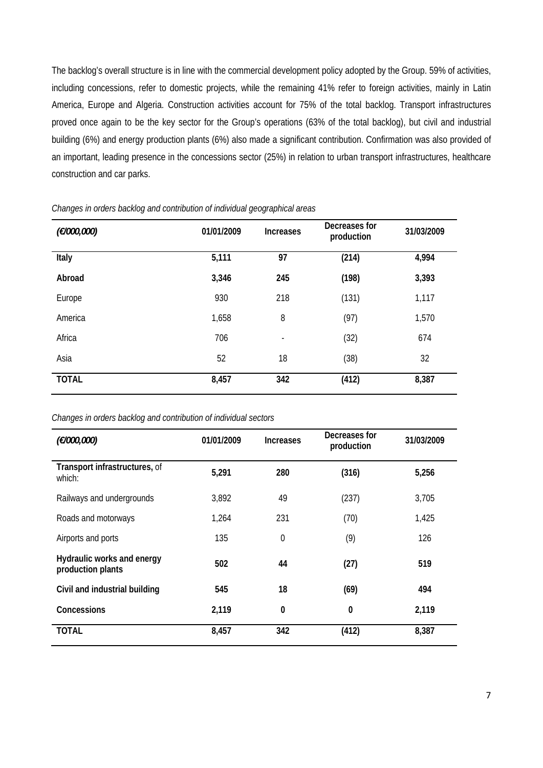The backlog's overall structure is in line with the commercial development policy adopted by the Group. 59% of activities, including concessions, refer to domestic projects, while the remaining 41% refer to foreign activities, mainly in Latin America, Europe and Algeria. Construction activities account for 75% of the total backlog. Transport infrastructures proved once again to be the key sector for the Group's operations (63% of the total backlog), but civil and industrial building (6%) and energy production plants (6%) also made a significant contribution. Confirmation was also provided of an important, leading presence in the concessions sector (25%) in relation to urban transport infrastructures, healthcare construction and car parks.

| (E/000,000)  | 01/01/2009 | <b>Increases</b>         | Decreases for<br>production | 31/03/2009 |
|--------------|------------|--------------------------|-----------------------------|------------|
| Italy        | 5,111      | 97                       | (214)                       | 4,994      |
| Abroad       | 3,346      | 245                      | (198)                       | 3,393      |
| Europe       | 930        | 218                      | (131)                       | 1,117      |
| America      | 1,658      | 8                        | (97)                        | 1,570      |
| Africa       | 706        | $\overline{\phantom{a}}$ | (32)                        | 674        |
| Asia         | 52         | 18                       | (38)                        | 32         |
| <b>TOTAL</b> | 8,457      | 342                      | (412)                       | 8,387      |

# *Changes in orders backlog and contribution of individual geographical areas*

*Changes in orders backlog and contribution of individual sectors* 

| (E/000,000)                                     | 01/01/2009 | <b>Increases</b> | Decreases for<br>production | 31/03/2009 |
|-------------------------------------------------|------------|------------------|-----------------------------|------------|
| Transport infrastructures, of<br>which:         | 5,291      | 280              | (316)                       | 5,256      |
| Railways and undergrounds                       | 3,892      | 49               | (237)                       | 3,705      |
| Roads and motorways                             | 1,264      | 231              | (70)                        | 1,425      |
| Airports and ports                              | 135        | $\mathbf 0$      | (9)                         | 126        |
| Hydraulic works and energy<br>production plants | 502        | 44               | (27)                        | 519        |
| Civil and industrial building                   | 545        | 18               | (69)                        | 494        |
| Concessions                                     | 2,119      | $\bf{0}$         | $\bf{0}$                    | 2,119      |
| <b>TOTAL</b>                                    | 8,457      | 342              | (412)                       | 8,387      |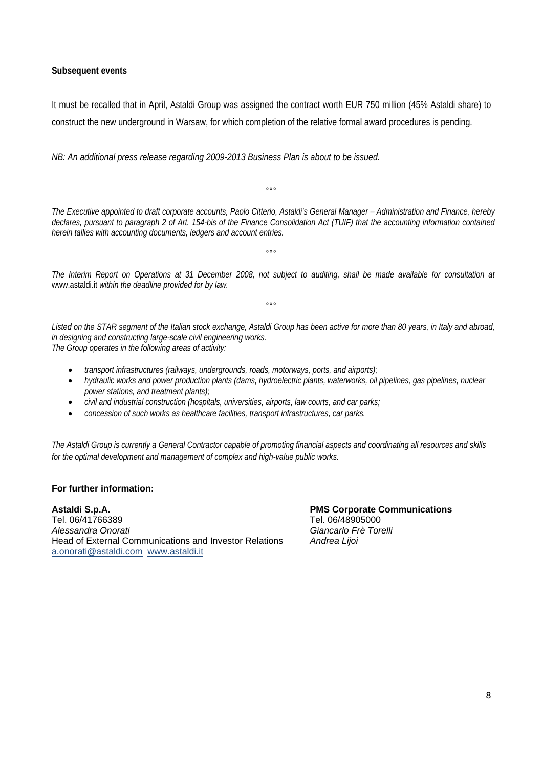# **Subsequent events**

It must be recalled that in April, Astaldi Group was assigned the contract worth EUR 750 million (45% Astaldi share) to construct the new underground in Warsaw, for which completion of the relative formal award procedures is pending.

*NB: An additional press release regarding 2009-2013 Business Plan is about to be issued.* 

*The Executive appointed to draft corporate accounts, Paolo Citterio, Astaldi's General Manager – Administration and Finance, hereby declares, pursuant to paragraph 2 of Art. 154-bis of the Finance Consolidation Act (TUIF) that the accounting information contained herein tallies with accounting documents, ledgers and account entries.* 

 $000$ 

*The Interim Report on Operations at 31 December 2008, not subject to auditing, shall be made available for consultation at*  www.astaldi.it *within the deadline provided for by law.* 

 $^{\circ}$ °

 $000$ 

*Listed on the STAR segment of the Italian stock exchange, Astaldi Group has been active for more than 80 years, in Italy and abroad, in designing and constructing large-scale civil engineering works. The Group operates in the following areas of activity:* 

- *transport infrastructures (railways, undergrounds, roads, motorways, ports, and airports);*
- *hydraulic works and power production plants (dams, hydroelectric plants, waterworks, oil pipelines, gas pipelines, nuclear power stations, and treatment plants);*
- *civil and industrial construction (hospitals, universities, airports, law courts, and car parks;*
- *concession of such works as healthcare facilities, transport infrastructures, car parks.*

*The Astaldi Group is currently a General Contractor capable of promoting financial aspects and coordinating all resources and skills for the optimal development and management of complex and high-value public works.* 

## **For further information:**

**Astaldi S.p.A. PMS Corporate Communications**  Tel. 06/41766389 Tel. 06/48905000 *Alessandra Onorati Giancarlo Frè Torelli*  Head of External Communications and Investor Relations *Andrea Lijoi*  a.onorati@astaldi.com www.astaldi.it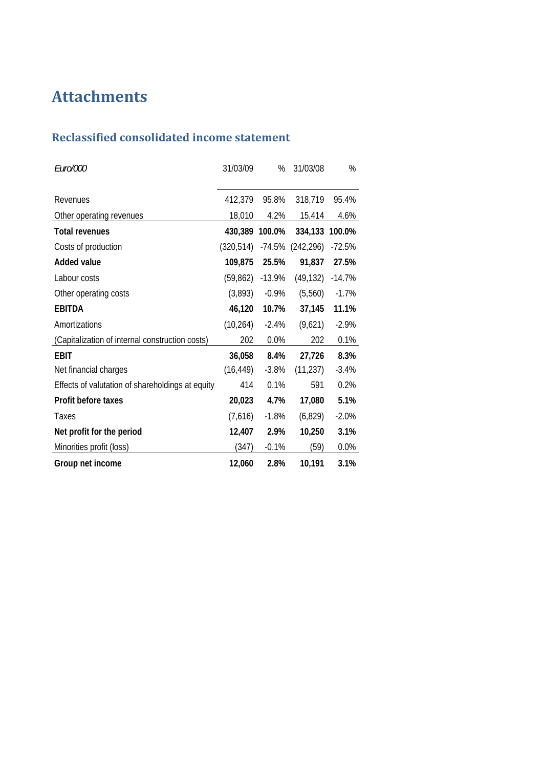# **Attachments**

# **Reclassified consolidated income statement**

| Euro/000                                         | 31/03/09   | %         | 31/03/08       | %        |
|--------------------------------------------------|------------|-----------|----------------|----------|
|                                                  |            |           |                |          |
| Revenues                                         | 412,379    | 95.8%     | 318,719        | 95.4%    |
| Other operating revenues                         | 18,010     | 4.2%      | 15,414         | 4.6%     |
| <b>Total revenues</b>                            | 430,389    | 100.0%    | 334,133 100.0% |          |
| Costs of production                              | (320, 514) | $-74.5\%$ | (242, 296)     | $-72.5%$ |
| <b>Added value</b>                               | 109,875    | 25.5%     | 91,837         | 27.5%    |
| Labour costs                                     | (59, 862)  | $-13.9%$  | (49, 132)      | $-14.7%$ |
| Other operating costs                            | (3,893)    | $-0.9%$   | (5,560)        | $-1.7%$  |
| <b>EBITDA</b>                                    | 46,120     | 10.7%     | 37,145         | 11.1%    |
| Amortizations                                    | (10, 264)  | $-2.4%$   | (9,621)        | $-2.9%$  |
| (Capitalization of internal construction costs)  | 202        | 0.0%      | 202            | 0.1%     |
| <b>EBIT</b>                                      | 36,058     | 8.4%      | 27,726         | 8.3%     |
| Net financial charges                            | (16, 449)  | $-3.8%$   | (11, 237)      | $-3.4%$  |
| Effects of valutation of shareholdings at equity | 414        | 0.1%      | 591            | 0.2%     |
| Profit before taxes                              | 20,023     | 4.7%      | 17,080         | 5.1%     |
| Taxes                                            | (7,616)    | $-1.8%$   | (6, 829)       | $-2.0%$  |
| Net profit for the period                        | 12,407     | 2.9%      | 10,250         | 3.1%     |
| Minorities profit (loss)                         | (347)      | $-0.1%$   | (59)           | 0.0%     |
| Group net income                                 | 12,060     | 2.8%      | 10,191         | 3.1%     |